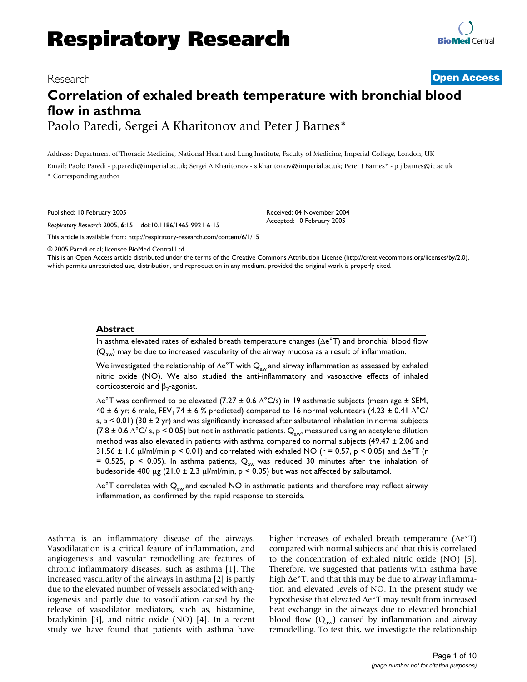# Research **[Open Access](http://www.biomedcentral.com/info/about/charter/)**

# **Correlation of exhaled breath temperature with bronchial blood flow in asthma** Paolo Paredi, Sergei A Kharitonov and Peter J Barnes\*

Address: Department of Thoracic Medicine, National Heart and Lung Institute, Faculty of Medicine, Imperial College, London, UK

Email: Paolo Paredi - p.paredi@imperial.ac.uk; Sergei A Kharitonov - s.kharitonov@imperial.ac.uk; Peter J Barnes\* - p.j.barnes@ic.ac.uk \* Corresponding author

Published: 10 February 2005

*Respiratory Research* 2005, **6**:15 doi:10.1186/1465-9921-6-15

[This article is available from: http://respiratory-research.com/content/6/1/15](http://respiratory-research.com/content/6/1/15)

© 2005 Paredi et al; licensee BioMed Central Ltd.

This is an Open Access article distributed under the terms of the Creative Commons Attribution License [\(http://creativecommons.org/licenses/by/2.0\)](http://creativecommons.org/licenses/by/2.0), which permits unrestricted use, distribution, and reproduction in any medium, provided the original work is properly cited.

Received: 04 November 2004 Accepted: 10 February 2005

#### **Abstract**

In asthma elevated rates of exhaled breath temperature changes (∆e°T) and bronchial blood flow  $(Q_{aw})$  may be due to increased vascularity of the airway mucosa as a result of inflammation.

We investigated the relationship of  $\Delta e^{\circ}T$  with  $Q_{aw}$  and airway inflammation as assessed by exhaled nitric oxide (NO). We also studied the anti-inflammatory and vasoactive effects of inhaled corticosteroid and  $\beta_2$ -agonist.

∆e°T was confirmed to be elevated (7.27 ± 0.6 ∆°C/s) in 19 asthmatic subjects (mean age ± SEM, 40 ± 6 yr; 6 male, FEV<sub>1</sub> 74 ± 6 % predicted) compared to 16 normal volunteers (4.23 ± 0.41  $\Delta$ °C/ s,  $p < 0.01$ ) (30 ± 2 yr) and was significantly increased after salbutamol inhalation in normal subjects (7.8 ± 0.6  $\triangle$ °C/ s, p < 0.05) but not in asthmatic patients. Q<sub>aw</sub>, measured using an acetylene dilution method was also elevated in patients with asthma compared to normal subjects (49.47 ± 2.06 and 31.56 ± 1.6 µl/ml/min p < 0.01) and correlated with exhaled NO (r = 0.57, p < 0.05) and  $\Delta e^{\circ}T$  (r = 0.525, p < 0.05). In asthma patients,  $Q_{aw}$  was reduced 30 minutes after the inhalation of budesonide 400 µg (21.0 ± 2.3 µl/ml/min,  $p < 0.05$ ) but was not affected by salbutamol.

 $\Delta e^{\circ}$ T correlates with Q<sub>aw</sub> and exhaled NO in asthmatic patients and therefore may reflect airway inflammation, as confirmed by the rapid response to steroids.

Asthma is an inflammatory disease of the airways. Vasodilatation is a critical feature of inflammation, and angiogenesis and vascular remodelling are features of chronic inflammatory diseases, such as asthma [1]. The increased vascularity of the airways in asthma [2] is partly due to the elevated number of vessels associated with angiogenesis and partly due to vasodilation caused by the release of vasodilator mediators, such as, histamine, bradykinin [3], and nitric oxide (NO) [4]. In a recent study we have found that patients with asthma have higher increases of exhaled breath temperature (∆e°T) compared with normal subjects and that this is correlated to the concentration of exhaled nitric oxide (NO) [5]. Therefore, we suggested that patients with asthma have high ∆e°T. and that this may be due to airway inflammation and elevated levels of NO. In the present study we hypothesise that elevated ∆e°T may result from increased heat exchange in the airways due to elevated bronchial blood flow  $(Q_{aw})$  caused by inflammation and airway remodelling. To test this, we investigate the relationship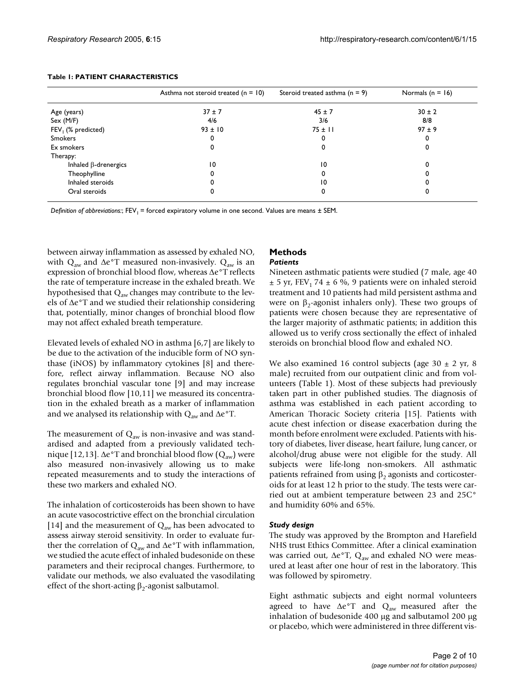|                             | Asthma not steroid treated $(n = 10)$ | Steroid treated asthma $(n = 9)$ | Normals $(n = 16)$ |
|-----------------------------|---------------------------------------|----------------------------------|--------------------|
| Age (years)                 | $37 \pm 7$                            | $45 \pm 7$                       | $30 \pm 2$         |
| Sex (M/F)                   | 4/6                                   | 3/6                              | 8/8                |
| $FEV1$ (% predicted)        | $93 \pm 10$                           | $75 \pm 11$                      | $97 \pm 9$         |
| <b>Smokers</b>              | 0                                     |                                  |                    |
| Ex smokers                  | 0                                     |                                  |                    |
| Therapy:                    |                                       |                                  |                    |
| Inhaled $\beta$ -drenergics | $\overline{0}$                        | $\overline{10}$                  |                    |
| Theophylline                | 0                                     |                                  |                    |
| Inhaled steroids            |                                       | 10                               |                    |
| Oral steroids               | υ                                     |                                  |                    |

#### **Table 1: PATIENT CHARACTERISTICS**

*Definition of abbreviations:*; FEV<sub>1</sub> = forced expiratory volume in one second. Values are means ± SEM.

between airway inflammation as assessed by exhaled NO, with Q<sub>aw</sub> and ∆e°T measured non-invasively. Q<sub>aw</sub> is an expression of bronchial blood flow, whereas ∆e°T reflects the rate of temperature increase in the exhaled breath. We hypothesised that  $Q_{aw}$  changes may contribute to the levels of ∆e°T and we studied their relationship considering that, potentially, minor changes of bronchial blood flow may not affect exhaled breath temperature.

Elevated levels of exhaled NO in asthma [6,7] are likely to be due to the activation of the inducible form of NO synthase (iNOS) by inflammatory cytokines [8] and therefore, reflect airway inflammation. Because NO also regulates bronchial vascular tone [9] and may increase bronchial blood flow [10,11] we measured its concentration in the exhaled breath as a marker of inflammation and we analysed its relationship with  $Q_{aw}$  and ∆e°T.

The measurement of  $Q_{aw}$  is non-invasive and was standardised and adapted from a previously validated technique [12,13]. ∆e°T and bronchial blood flow ( $Q_{aw}$ ) were also measured non-invasively allowing us to make repeated measurements and to study the interactions of these two markers and exhaled NO.

The inhalation of corticosteroids has been shown to have an acute vasocostrictive effect on the bronchial circulation [14] and the measurement of  $Q_{aw}$  has been advocated to assess airway steroid sensitivity. In order to evaluate further the correlation of Q<sub>aw</sub> and ∆e°T with inflammation, we studied the acute effect of inhaled budesonide on these parameters and their reciprocal changes. Furthermore, to validate our methods, we also evaluated the vasodilating effect of the short-acting  $\beta_2$ -agonist salbutamol.

# **Methods**

#### *Patients*

Nineteen asthmatic patients were studied (7 male, age 40  $\pm$  5 yr, FEV<sub>1</sub> 74  $\pm$  6 %, 9 patients were on inhaled steroid treatment and 10 patients had mild persistent asthma and were on  $β_2$ -agonist inhalers only). These two groups of patients were chosen because they are representative of the larger majority of asthmatic patients; in addition this allowed us to verify cross sectionally the effect of inhaled steroids on bronchial blood flow and exhaled NO.

We also examined 16 control subjects (age  $30 \pm 2$  yr, 8 male) recruited from our outpatient clinic and from volunteers (Table 1). Most of these subjects had previously taken part in other published studies. The diagnosis of asthma was established in each patient according to American Thoracic Society criteria [15]. Patients with acute chest infection or disease exacerbation during the month before enrolment were excluded. Patients with history of diabetes, liver disease, heart failure, lung cancer, or alcohol/drug abuse were not eligible for the study. All subjects were life-long non-smokers. All asthmatic patients refrained from using  $β_2$  agonists and corticosteroids for at least 12 h prior to the study. The tests were carried out at ambient temperature between 23 and 25C° and humidity 60% and 65%.

### *Study design*

The study was approved by the Brompton and Harefield NHS trust Ethics Committee. After a clinical examination was carried out,  $\Delta e^{\circ}T$ , Q<sub>aw</sub> and exhaled NO were measured at least after one hour of rest in the laboratory. This was followed by spirometry.

Eight asthmatic subjects and eight normal volunteers agreed to have  $\Delta e^{\circ}T$  and  $Q_{aw}$  measured after the inhalation of budesonide 400 µg and salbutamol 200 µg or placebo, which were administered in three different vis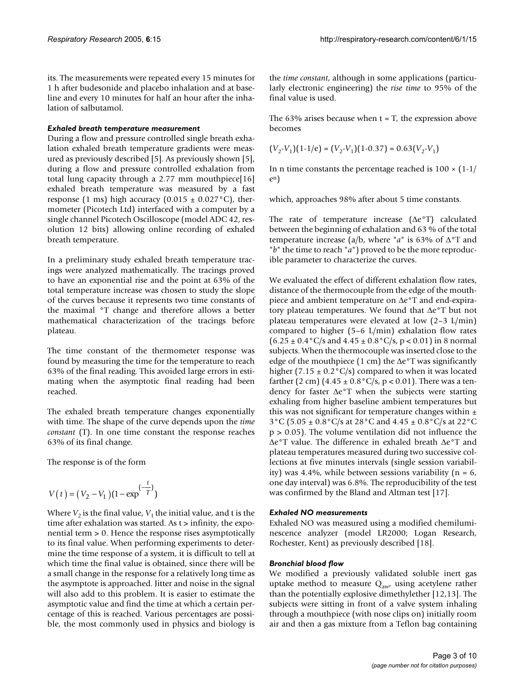its. The measurements were repeated every 15 minutes for 1 h after budesonide and placebo inhalation and at baseline and every 10 minutes for half an hour after the inhalation of salbutamol.

#### *Exhaled breath temperature measurement*

During a flow and pressure controlled single breath exhalation exhaled breath temperature gradients were measured as previously described [5]. As previously shown [5], during a flow and pressure controlled exhalation from total lung capacity through a 2.77 mm mouthpiece[16] exhaled breath temperature was measured by a fast response (1 ms) high accuracy (0.015  $\pm$  0.027 °C), thermometer (Picotech Ltd) interfaced with a computer by a single channel Picotech Oscilloscope (model ADC 42, resolution 12 bits) allowing online recording of exhaled breath temperature.

In a preliminary study exhaled breath temperature tracings were analyzed mathematically. The tracings proved to have an exponential rise and the point at 63% of the total temperature increase was chosen to study the slope of the curves because it represents two time constants of the maximal °T change and therefore allows a better mathematical characterization of the tracings before plateau.

The time constant of the thermometer response was found by measuring the time for the temperature to reach 63% of the final reading. This avoided large errors in estimating when the asymptotic final reading had been reached.

The exhaled breath temperature changes exponentially with time. The shape of the curve depends upon the *time constant* (T). In one time constant the response reaches 63% of its final change.

The response is of the form

$$
V(t) = (V_2 - V_1)(1 - \exp^{(-\frac{t}{T})})
$$

Where  $V_2$  is the final value,  $V_1$  the initial value, and t is the time after exhalation was started. As  $t >$  infinity, the exponential term > 0. Hence the response rises asymptotically to its final value. When performing experiments to determine the time response of a system, it is difficult to tell at which time the final value is obtained, since there will be a small change in the response for a relatively long time as the asymptote is approached. Jitter and noise in the signal will also add to this problem. It is easier to estimate the asymptotic value and find the time at which a certain percentage of this is reached. Various percentages are possible, the most commonly used in physics and biology is the *time constant*, although in some applications (particularly electronic engineering) the *rise time* to 95% of the final value is used.

The 63% arises because when  $t = T$ , the expression above becomes

$$
(V_2 \tV_1)(1-1/e) = (V_2 \tV_1)(1-0.37) = 0.63(V_2 \tV_1)
$$

In n time constants the percentage reached is  $100 \times (1-1)$ en)

which, approaches 98% after about 5 time constants.

The rate of temperature increase (∆e°T) calculated between the beginning of exhalation and 63 % of the total temperature increase (a/b, where "*a*" is 63% of ∆°T and "*b*" the time to reach "*a*") proved to be the more reproducible parameter to characterize the curves.

We evaluated the effect of different exhalation flow rates, distance of the thermocouple from the edge of the mouthpiece and ambient temperature on ∆e°T and end-expiratory plateau temperatures. We found that ∆e°T but not plateau temperatures were elevated at low (2–3 L/min) compared to higher (5–6 L/min) exhalation flow rates  $(6.25 \pm 0.4 \degree C/s$  and  $4.45 \pm 0.8 \degree C/s$ , p < 0.01) in 8 normal subjects. When the thermocouple was inserted close to the edge of the mouthpiece (1 cm) the ∆e°T was significantly higher (7.15  $\pm$  0.2°C/s) compared to when it was located farther (2 cm)  $(4.45 \pm 0.8\degree \text{C/s}, p < 0.01)$ . There was a tendency for faster ∆e°T when the subjects were starting exhaling from higher baseline ambient temperatures but this was not significant for temperature changes within  $\pm$ 3°C (5.05 ± 0.8°C/s at 28°C and 4.45 ± 0.8°C/s at 22°C  $p > 0.05$ ). The volume ventilation did not influence the ∆e°T value. The difference in exhaled breath ∆e°T and plateau temperatures measured during two successive collections at five minutes intervals (single session variability) was 4.4%, while between sessions variability ( $n = 6$ , one day interval) was 6.8%. The reproducibility of the test was confirmed by the Bland and Altman test [17].

### *Exhaled NO measurements*

Exhaled NO was measured using a modified chemiluminescence analyzer (model LR2000; Logan Research, Rochester, Kent) as previously described [18].

### *Bronchial blood flow*

We modified a previously validated soluble inert gas uptake method to measure  $Q_{\text{aw}}$  using acetylene rather than the potentially explosive dimethylether [12,13]. The subjects were sitting in front of a valve system inhaling through a mouthpiece (with nose clips on) initially room air and then a gas mixture from a Teflon bag containing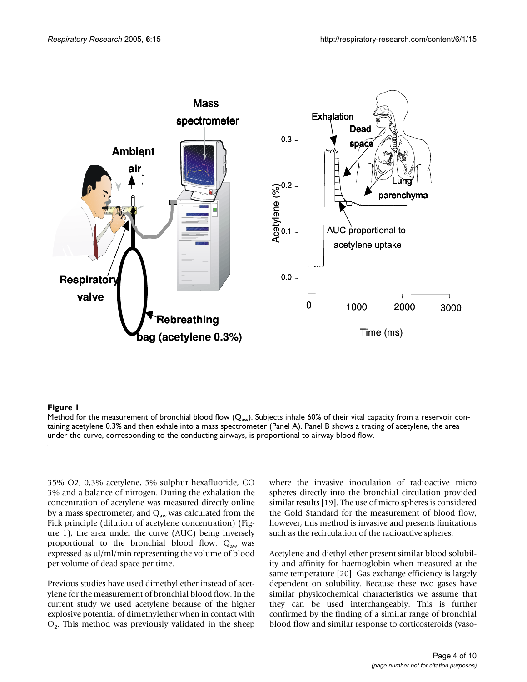

## Method for the measurement of bronchial blood flow (Qaw **Figure 1** )

Method for the measurement of bronchial blood flow ( $\mathsf{Q}_\mathsf{aw}$ ). Subjects inhale 60% of their vital capacity from a reservoir containing acetylene 0.3% and then exhale into a mass spectrometer (Panel A). Panel B shows a tracing of acetylene, the area under the curve, corresponding to the conducting airways, is proportional to airway blood flow.

35% O2, 0,3% acetylene, 5% sulphur hexafluoride, CO 3% and a balance of nitrogen. During the exhalation the concentration of acetylene was measured directly online by a mass spectrometer, and  $\mathbf{Q}_\mathrm{aw}$  was calculated from the Fick principle (dilution of acetylene concentration) (Figure 1), the area under the curve (AUC) being inversely proportional to the bronchial blood flow.  $Q_{aw}$  was expressed as µl/ml/min representing the volume of blood per volume of dead space per time.

Previous studies have used dimethyl ether instead of acetylene for the measurement of bronchial blood flow. In the current study we used acetylene because of the higher explosive potential of dimethylether when in contact with  $O<sub>2</sub>$ . This method was previously validated in the sheep

where the invasive inoculation of radioactive micro spheres directly into the bronchial circulation provided similar results [19]. The use of micro spheres is considered the Gold Standard for the measurement of blood flow, however, this method is invasive and presents limitations such as the recirculation of the radioactive spheres.

Acetylene and diethyl ether present similar blood solubility and affinity for haemoglobin when measured at the same temperature [20]. Gas exchange efficiency is largely dependent on solubility. Because these two gases have similar physicochemical characteristics we assume that they can be used interchangeably. This is further confirmed by the finding of a similar range of bronchial blood flow and similar response to corticosteroids (vaso-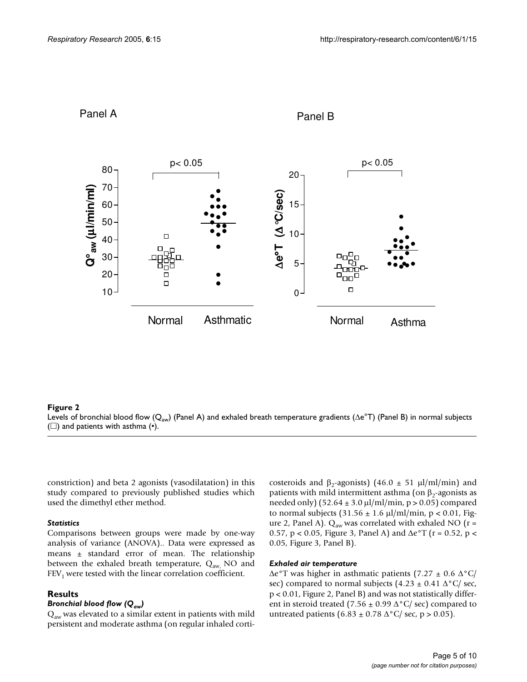

# Panel A **Panel B**

Levels of bronchial blood flow (Qaw (**Figure 2** ) and patients with asthma (•) ) (Panel A) and exhaled breath temperature gradients (∆e°T) (Panel B) in normal subjects Levels of bronchial blood flow ( $\rm Q_{aw}$ ) (Panel A) and exhaled breath temperature gradients (∆e°T) (Panel B) in normal subjects ( $\square$ ) and patients with asthma  $(•)$ .

constriction) and beta 2 agonists (vasodilatation) in this study compared to previously published studies which used the dimethyl ether method.

#### *Statistics*

Comparisons between groups were made by one-way analysis of variance (ANOVA).. Data were expressed as means ± standard error of mean. The relationship between the exhaled breath temperature,  $Q_{aw}$  NO and  $FEV<sub>1</sub>$  were tested with the linear correlation coefficient.

### **Results**

### *Bronchial blood flow (Qaw)*

 $Q_{aw}$  was elevated to a similar extent in patients with mild persistent and moderate asthma (on regular inhaled corticosteroids and  $\beta_2$ -agonists) (46.0 ± 51 µl/ml/min) and patients with mild intermittent asthma (on  $β_2$ -agonists as needed only)  $(52.64 \pm 3.0 \,\text{µl/ml/min}, p > 0.05)$  compared to normal subjects  $(31.56 \pm 1.6 \,\mu\text{m/s})$  min, p < 0.01, Figure 2, Panel A).  $Q_{aw}$  was correlated with exhaled NO ( $r =$ 0.57, p < 0.05, Figure [3](#page-5-0), Panel A) and  $\Delta e^{\circ}T$  (r = 0.52, p < 0.05, Figure [3,](#page-5-0) Panel B).

#### *Exhaled air temperature*

∆e°T was higher in asthmatic patients (7.27 ± 0.6 ∆°C/ sec) compared to normal subjects  $(4.23 \pm 0.41 \Delta^{\circ}C/\text{sec}$ , p < 0.01, Figure 2, Panel B) and was not statistically different in steroid treated (7.56  $\pm$  0.99  $\Delta$ °C/ sec) compared to untreated patients (6.83 ± 0.78  $\Delta$ °C/ sec, p > 0.05).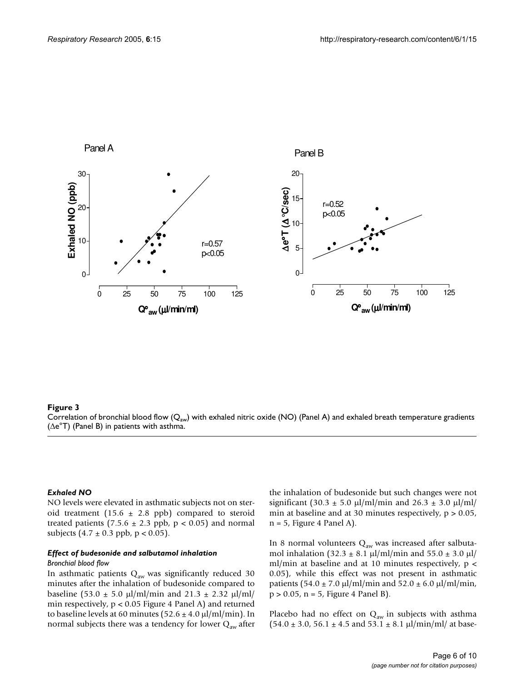<span id="page-5-0"></span>

 $$ Correlation of bronchial blood flow ( $Q_{\sf aw}$ ) with exhaled nitric oxide (NO) (Panel A) and exhaled breath temperature gradients (∆e°T) (Panel B) in patients with asthma.

#### *Exhaled NO*

NO levels were elevated in asthmatic subjects not on steroid treatment (15.6  $\pm$  2.8 ppb) compared to steroid treated patients (7.5.6  $\pm$  2.3 ppb, p < 0.05) and normal subjects  $(4.7 \pm 0.3 \text{ pb}$ ,  $p < 0.05$ ).

# *Effect of budesonide and salbutamol inhalation*

#### *Bronchial blood flow*

In asthmatic patients  $Q_{aw}$  was significantly reduced 30 minutes after the inhalation of budesonide compared to baseline (53.0  $\pm$  5.0 µl/ml/min and 21.3  $\pm$  2.32 µl/ml/ min respectively,  $p < 0.05$  Figure 4 Panel A) and returned to baseline levels at 60 minutes ( $52.6 \pm 4.0 \,\mu$ l/ml/min). In normal subjects there was a tendency for lower  $Q_{aw}$  after

the inhalation of budesonide but such changes were not significant (30.3  $\pm$  5.0 µl/ml/min and 26.3  $\pm$  3.0 µl/ml/ min at baseline and at 30 minutes respectively,  $p > 0.05$ ,  $n = 5$ , Figure 4 Panel A).

In 8 normal volunteers  $Q_{aw}$  was increased after salbutamol inhalation (32.3  $\pm$  8.1 µl/ml/min and 55.0  $\pm$  3.0 µl/ ml/min at baseline and at 10 minutes respectively,  $p <$ 0.05), while this effect was not present in asthmatic patients  $(54.0 \pm 7.0 \,\text{µl/ml/min}$  and  $52.0 \pm 6.0 \,\text{µl/ml/min}$ , p > 0.05, n = 5, Figure 4 Panel B).

Placebo had no effect on  $Q_{aw}$  in subjects with asthma  $(54.0 \pm 3.0, 56.1 \pm 4.5 \text{ and } 53.1 \pm 8.1 \text{ }\mu\text{/min/ml/ at base}$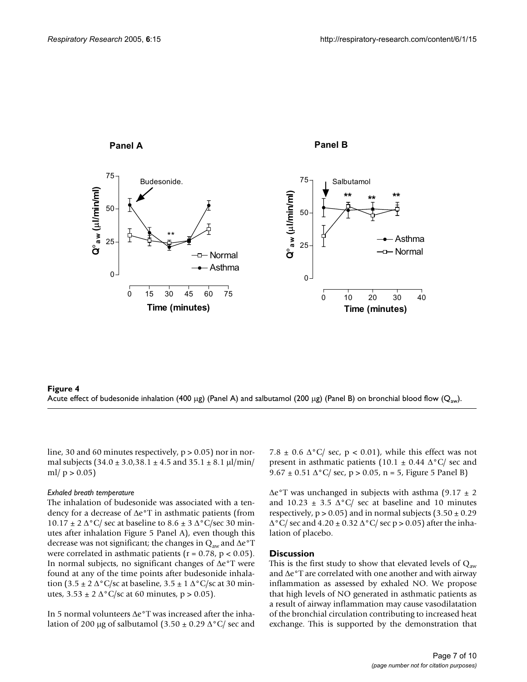



line, 30 and 60 minutes respectively,  $p > 0.05$ ) nor in normal subjects  $(34.0 \pm 3.0,38.1 \pm 4.5 \text{ and } 35.1 \pm 8.1 \text{ }\mu\text{/min/}$ ml/  $p > 0.05$ )

#### *Exhaled breath temperature*

The inhalation of budesonide was associated with a tendency for a decrease of ∆e°T in asthmatic patients (from  $10.17 \pm 2 \Delta^{\circ}C/$  sec at baseline to  $8.6 \pm 3 \Delta^{\circ}C/$  sec 30 minutes after inhalation Figure [5](#page-7-0) Panel A), even though this decrease was not significant; the changes in  $Q_{aw}$  and ∆e°T were correlated in asthmatic patients ( $r = 0.78$ ,  $p < 0.05$ ). In normal subjects, no significant changes of ∆e°T were found at any of the time points after budesonide inhalation (3.5 ± 2  $\Delta$ °C/sc at baseline, 3.5 ± 1  $\Delta$ °C/sc at 30 minutes,  $3.53 \pm 2$  ∆°C/sc at 60 minutes, p > 0.05).

In 5 normal volunteers ∆e°T was increased after the inhalation of 200 µg of salbutamol  $(3.50 \pm 0.29 \,\Delta^{\circ}\text{C})$  sec and 7.8  $\pm$  0.6  $\Delta$ °C/ sec, p < 0.01), while this effect was not present in asthmatic patients (10.1  $\pm$  0.44  $\Delta$ °C/ sec and 9.67 ± 0.51  $\Delta$ °C/ sec, p > 0.05, n = 5, Figure [5](#page-7-0) Panel B)

∆e°T was unchanged in subjects with asthma (9.17 ± 2 and 10.23  $\pm$  3.5  $\Delta$ °C/ sec at baseline and 10 minutes respectively,  $p > 0.05$ ) and in normal subjects  $(3.50 \pm 0.29)$  $\Delta$ °C/ sec and 4.20 ± 0.32  $\Delta$ °C/ sec p > 0.05) after the inhalation of placebo.

#### **Discussion**

This is the first study to show that elevated levels of  $Q_{aw}$ and ∆e°T are correlated with one another and with airway inflammation as assessed by exhaled NO. We propose that high levels of NO generated in asthmatic patients as a result of airway inflammation may cause vasodilatation of the bronchial circulation contributing to increased heat exchange. This is supported by the demonstration that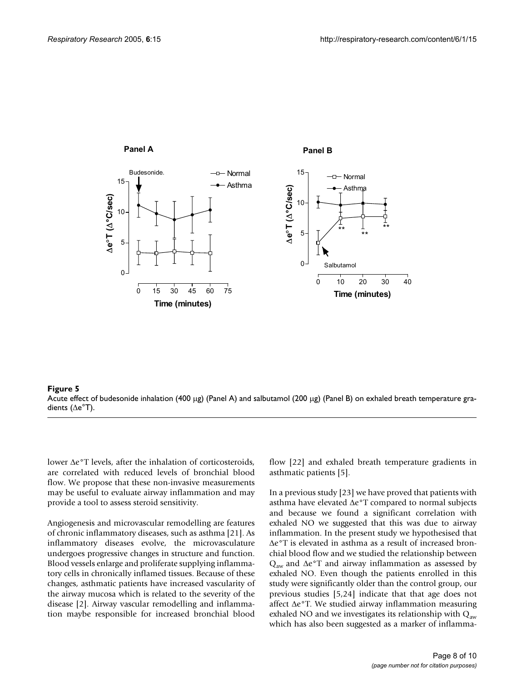<span id="page-7-0"></span>

Acute effect of budesonide inhalation (400 dients ( **Figure 5**∆e°T) µg) (Panel A) and salbutamol (200 µg) (Panel B) on exhaled breath temperature gra-Acute effect of budesonide inhalation (400 µg) (Panel A) and salbutamol (200 µg) (Panel B) on exhaled breath temperature gradients (∆e°T).

lower ∆e°T levels, after the inhalation of corticosteroids, are correlated with reduced levels of bronchial blood flow. We propose that these non-invasive measurements may be useful to evaluate airway inflammation and may provide a tool to assess steroid sensitivity.

Angiogenesis and microvascular remodelling are features of chronic inflammatory diseases, such as asthma [21]. As inflammatory diseases evolve, the microvasculature undergoes progressive changes in structure and function. Blood vessels enlarge and proliferate supplying inflammatory cells in chronically inflamed tissues. Because of these changes, asthmatic patients have increased vascularity of the airway mucosa which is related to the severity of the disease [2]. Airway vascular remodelling and inflammation maybe responsible for increased bronchial blood flow [22] and exhaled breath temperature gradients in asthmatic patients [5].

In a previous study [23] we have proved that patients with asthma have elevated ∆e°T compared to normal subjects and because we found a significant correlation with exhaled NO we suggested that this was due to airway inflammation. In the present study we hypothesised that ∆e°T is elevated in asthma as a result of increased bronchial blood flow and we studied the relationship between  $Q<sub>aw</sub>$  and ∆e°T and airway inflammation as assessed by exhaled NO. Even though the patients enrolled in this study were significantly older than the control group, our previous studies [5,24] indicate that that age does not affect ∆e°T. We studied airway inflammation measuring exhaled NO and we investigates its relationship with  $Q_{aw}$ which has also been suggested as a marker of inflamma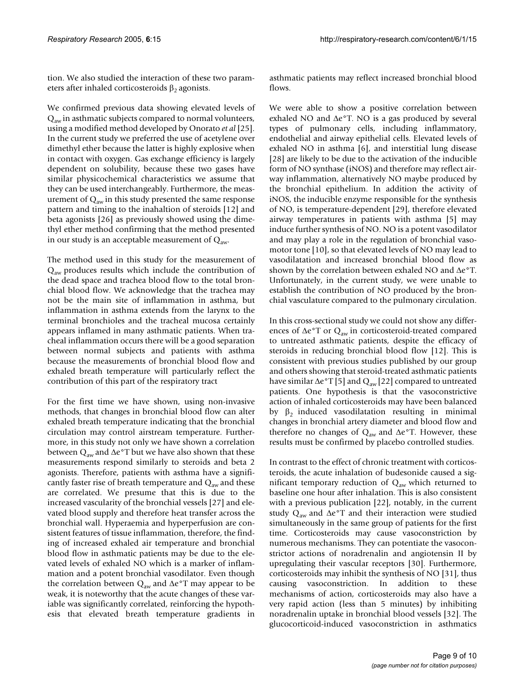tion. We also studied the interaction of these two parameters after inhaled corticosteroids  $\beta_2$  agonists.

We confirmed previous data showing elevated levels of  $Q<sub>aw</sub>$  in asthmatic subjects compared to normal volunteers, using a modified method developed by Onorato *et al* [25]. In the current study we preferred the use of acetylene over dimethyl ether because the latter is highly explosive when in contact with oxygen. Gas exchange efficiency is largely dependent on solubility, because these two gases have similar physicochemical characteristics we assume that they can be used interchangeably. Furthermore, the measurement of  $Q_{aw}$  in this study presented the same response pattern and timing to the inahaltion of steroids [12] and beta agonists [26] as previously showed using the dimethyl ether method confirming that the method presented in our study is an acceptable measurement of  $Q_{aw}$ .

The method used in this study for the measurement of  $Q<sub>aw</sub>$  produces results which include the contribution of the dead space and trachea blood flow to the total bronchial blood flow. We acknowledge that the trachea may not be the main site of inflammation in asthma, but inflammation in asthma extends from the larynx to the terminal bronchioles and the tracheal mucosa certainly appears inflamed in many asthmatic patients. When tracheal inflammation occurs there will be a good separation between normal subjects and patients with asthma because the measurements of bronchial blood flow and exhaled breath temperature will particularly reflect the contribution of this part of the respiratory tract

For the first time we have shown, using non-invasive methods, that changes in bronchial blood flow can alter exhaled breath temperature indicating that the bronchial circulation may control airstream temperature. Furthermore, in this study not only we have shown a correlation between Q<sub>aw</sub> and ∆e°T but we have also shown that these measurements respond similarly to steroids and beta 2 agonists. Therefore, patients with asthma have a significantly faster rise of breath temperature and  $Q_{aw}$  and these are correlated. We presume that this is due to the increased vascularity of the bronchial vessels [27] and elevated blood supply and therefore heat transfer across the bronchial wall. Hyperaemia and hyperperfusion are consistent features of tissue inflammation, therefore, the finding of increased exhaled air temperature and bronchial blood flow in asthmatic patients may be due to the elevated levels of exhaled NO which is a marker of inflammation and a potent bronchial vasodilator. Even though the correlation between Q<sub>aw</sub> and ∆e°T may appear to be weak, it is noteworthy that the acute changes of these variable was significantly correlated, reinforcing the hypothesis that elevated breath temperature gradients in

asthmatic patients may reflect increased bronchial blood flows.

We were able to show a positive correlation between exhaled NO and ∆e°T. NO is a gas produced by several types of pulmonary cells, including inflammatory, endothelial and airway epithelial cells. Elevated levels of exhaled NO in asthma [6], and interstitial lung disease [28] are likely to be due to the activation of the inducible form of NO synthase (iNOS) and therefore may reflect airway inflammation, alternatively NO maybe produced by the bronchial epithelium. In addition the activity of iNOS, the inducible enzyme responsible for the synthesis of NO, is temperature-dependent [29], therefore elevated airway temperatures in patients with asthma [5] may induce further synthesis of NO. NO is a potent vasodilator and may play a role in the regulation of bronchial vasomotor tone [10], so that elevated levels of NO may lead to vasodilatation and increased bronchial blood flow as shown by the correlation between exhaled NO and ∆e°T. Unfortunately, in the current study, we were unable to establish the contribution of NO produced by the bronchial vasculature compared to the pulmonary circulation.

In this cross-sectional study we could not show any differences of ∆e°T or Q<sub>aw</sub> in corticosteroid-treated compared to untreated asthmatic patients, despite the efficacy of steroids in reducing bronchial blood flow [12]. This is consistent with previous studies published by our group and others showing that steroid-treated asthmatic patients have similar  $\Delta e^{\circ}T$  [5] and  $Q_{aw}$  [22] compared to untreated patients. One hypothesis is that the vasoconstrictive action of inhaled corticosteroids may have been balanced by  $β_2$  induced vasodilatation resulting in minimal changes in bronchial artery diameter and blood flow and therefore no changes of Q<sub>aw</sub> and  $\Delta e^{\circ}$ T. However, these results must be confirmed by placebo controlled studies.

In contrast to the effect of chronic treatment with corticosteroids, the acute inhalation of budesonide caused a significant temporary reduction of  $Q_{aw}$  which returned to baseline one hour after inhalation. This is also consistent with a previous publication [22], notably, in the current study Q<sub>aw</sub> and ∆e°T and their interaction were studied simultaneously in the same group of patients for the first time. Corticosteroids may cause vasoconstriction by numerous mechanisms. They can potentiate the vasoconstrictor actions of noradrenalin and angiotensin II by upregulating their vascular receptors [30]. Furthermore, corticosteroids may inhibit the synthesis of NO [31], thus causing vasoconstriction. In addition to these mechanisms of action, corticosteroids may also have a very rapid action (less than 5 minutes) by inhibiting noradrenalin uptake in bronchial blood vessels [32]. The glucocorticoid-induced vasoconstriction in asthmatics